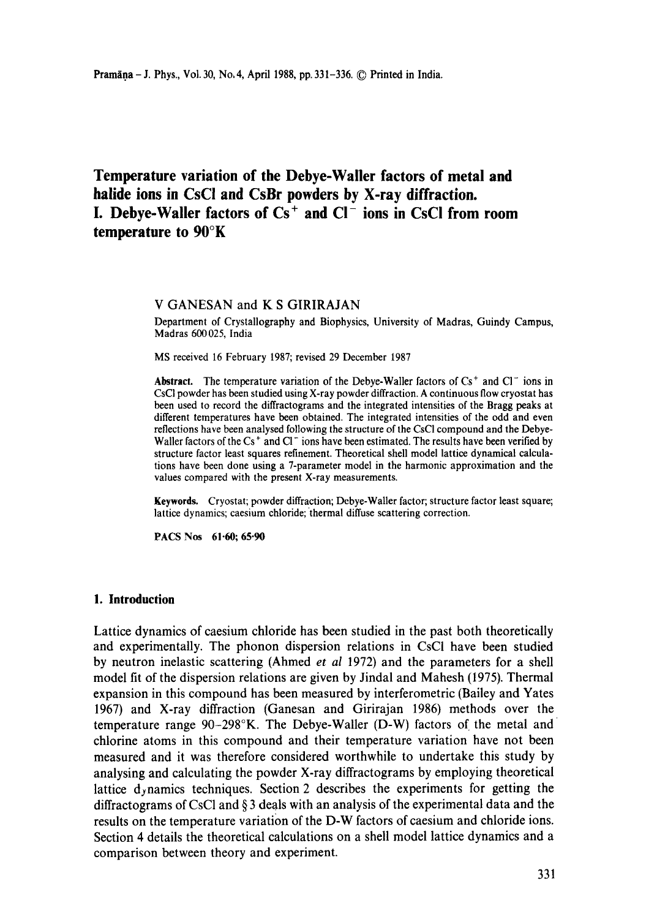# **Temperature variation of the Debye-Waller factors of metal and halide ions in CsCI and CsBr powders by X-ray diffraction. I. Debye-Waller factors of Cs + and CI- ions in CsC! from room temperature to 90°K**

#### **V** GANESAN and **K S GIRIRAJAN**

Department of Crystallography and Biophysics, University of Madras, Guindy Campus, Madras 600025, India

MS received 16 February 1987; revised 29 December 1987

**Abstract.** The temperature variation of the Debye-Waller factors of  $Cs<sup>+</sup>$  and  $Cl<sup>-</sup>$  ions in CsCI powder has been studied using X-ray powder diffraction. A continuous flow cryostat has been used to record the diffractograms and the integrated intensities of the Bragg peaks at different temperatures have been obtained. The integrated intensities of the odd and even reflections have been analysed following the structure of the CsCI compound and the Debye-Waller factors of the Cs<sup>+</sup> and Cl<sup>-</sup> ions have been estimated. The results have been verified by structure factor least squares refinement. Theoretical shell model lattice dynamical calculations have been done using a 7-parameter model in the harmonic approximation and the values compared with the present X-ray measurements.

**Keywords.** Cryostat; powder diffraction; Debye-Waller factor; structure factor least square; lattice dynamics; caesium chloride; thermal diffuse scattering correction.

PACS Nos 61.60; 65.90

## **1. Introduction**

Lattice dynamics of caesium chloride has been studied in the past both theoretically and experimentally. The phonon dispersion relations in CsCI have been studied by neutron inelastic scattering (Ahmed *et al* 1972) and the parameters for a shell model fit of the dispersion relations are given by Jindal and Mahesh (1975). Thermal expansion in this compound has been measured by interferometric (Bailey and Yates 1967) and X-ray diffraction (Ganesan and Girirajan 1986) methods over the temperature range 90-298°K. The Debye-Waller (D-W) factors of the metal and chlorine atoms in this compound and their temperature variation have not been measured and it was therefore considered worthwhile to undertake this study by analysing and calculating the powder X-ray diffractograms by employing theoretical lattice dynamics techniques. Section 2 describes the experiments for getting the diffractograms of CsC1 and § 3 deals with an analysis of the experimental data and the results on the temperature variation of the D-W factors of caesium and chloride ions. Section 4 details the theoretical calculations on a shell model lattice dynamics and a comparison between theory and experiment.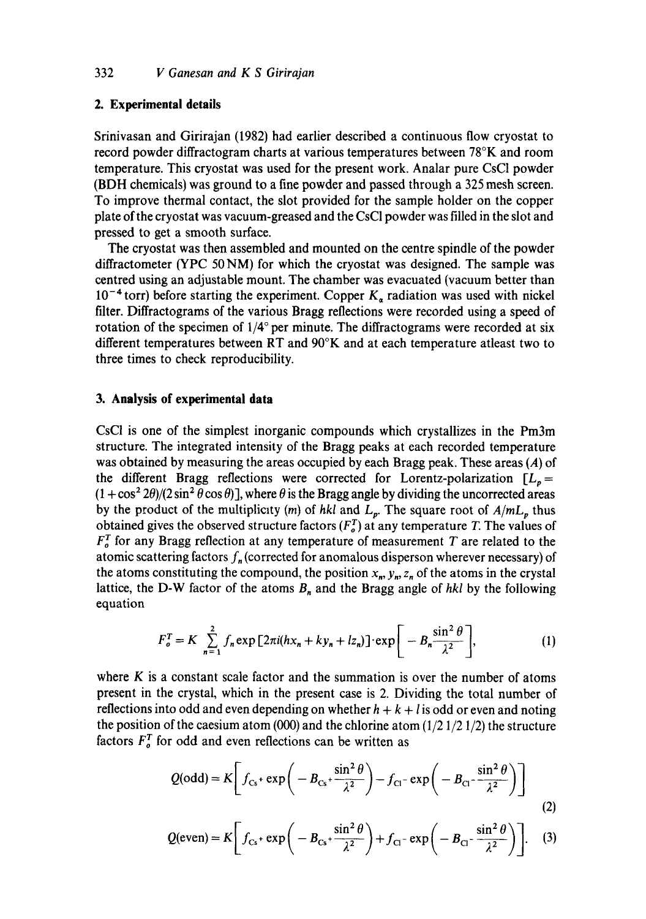## **2. Experimental details**

Srinivasan and Girirajan (1982) had earlier described a continuous flow cryostat to record powder diffractogram charts at various temperatures between 78°K and room temperature. This cryostat was used for the present work. Analar pure CsC1 powder (BDH chemicals) was ground to a fine powder and passed through a 325 mesh screen. To improve thermal contact, the slot provided for the sample holder on the copper plate of the cryostat was vacuum-greased and the CsCI powder was filled in the slot and pressed to get a smooth surface.

The cryostat was then assembled and mounted on the centre spindle of the powder diffractometer (YPC 50 NM) for which the cryostat was designed. The sample was centred using an adjustable mount. The chamber was evacuated (vacuum better than  $10^{-4}$  torr) before starting the experiment. Copper  $K_a$  radiation was used with nickel filter. Diffractograms of the various Bragg reflections were recorded using a speed of rotation of the specimen of  $1/4^{\circ}$  per minute. The diffractograms were recorded at six different temperatures between RT and  $90^\circ K$  and at each temperature atleast two to three times to check reproducibility.

## **3. Analysis of experimental data**

CsCI is one of the simplest inorganic compounds which crystallizes in the Pm3m structure. The integrated intensity of the Bragg peaks at each recorded temperature was obtained by measuring the areas occupied by each Bragg peak. These areas (A) of the different Bragg reflections were corrected for Lorentz-polarization  $[L_n=$  $(1 + \cos^2 2\theta)/(2 \sin^2 \theta \cos \theta)$ , where  $\theta$  is the Bragg angle by dividing the uncorrected areas by the product of the multiplicity (m) of hkl and  $L_p$ . The square root of  $A/mL_p$  thus obtained gives the observed structure factors  $(F_o^T)$  at any temperature T. The values of  $F_o^T$  for any Bragg reflection at any temperature of measurement T are related to the atomic scattering factors  $f_n$  (corrected for anomalous disperson wherever necessary) of the atoms constituting the compound, the position  $x_n$ ,  $y_n$ ,  $z_n$  of the atoms in the crystal lattice, the D-W factor of the atoms  $B_n$  and the Bragg angle of *hkl* by the following equation

$$
F_o^T = K \sum_{n=1}^{2} f_n \exp \left[ 2\pi i (hx_n + ky_n + lz_n) \right] \cdot \exp \left[ -B_n \frac{\sin^2 \theta}{\lambda^2} \right],
$$
 (1)

where  $K$  is a constant scale factor and the summation is over the number of atoms present in the crystal, which in the present case is 2. Dividing the total number of reflections into odd and even depending on whether  $h + k + l$  is odd or even and noting the position of the caesium atom (000) and the chlorine atom  $(1/2 \frac{1}{2} \frac{1}{2})$  the structure factors  $F_o^T$  for odd and even reflections can be written as

$$
Q(\text{odd}) = K \left[ f_{\text{Cs}} + \exp \left( -B_{\text{Cs}} + \frac{\sin^2 \theta}{\lambda^2} \right) - f_{\text{Cl}} - \exp \left( -B_{\text{Cl}} - \frac{\sin^2 \theta}{\lambda^2} \right) \right]
$$
(2)

$$
Q(\text{even}) = K \left[ f_{\text{Cs}} + \exp \left( -B_{\text{Cs}} + \frac{\sin^2 \theta}{\lambda^2} \right) + f_{\text{Cl}} - \exp \left( -B_{\text{Cl}} - \frac{\sin^2 \theta}{\lambda^2} \right) \right].
$$
 (3)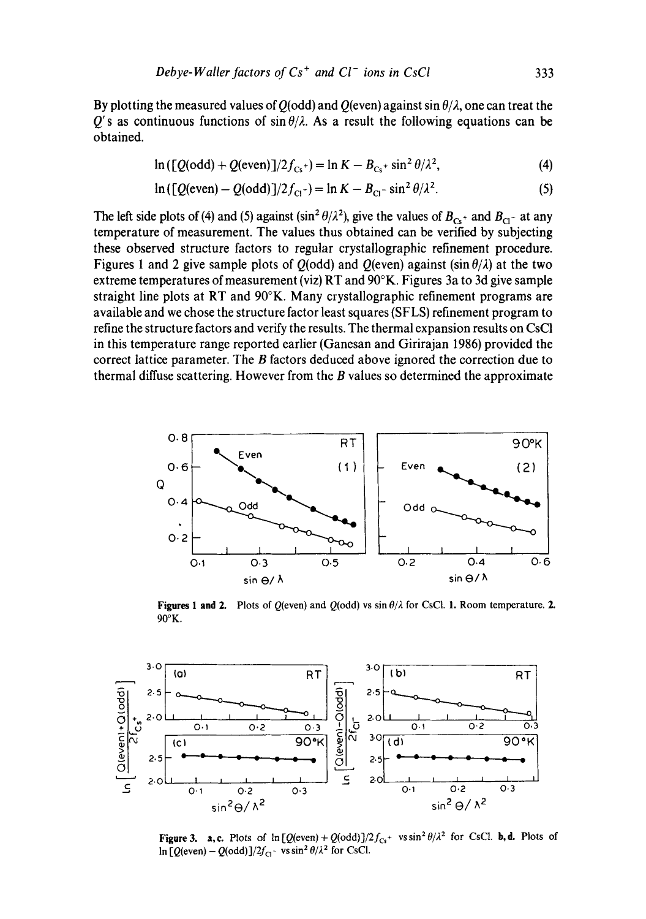By plotting the measured values of  $Q(\text{odd})$  and  $Q(\text{even})$  against sin  $\theta/\lambda$ , one can treat the  $Q'$ s as continuous functions of sin  $\theta/\lambda$ . As a result the following equations can be obtained.

$$
\ln\left(\left[Q(\text{odd}) + Q(\text{even})\right]/2f_{\text{Cs}}\right) = \ln K - B_{\text{Cs}} + \sin^2\theta/\lambda^2,\tag{4}
$$

$$
\ln\left(\left[Q(\text{even}) - Q(\text{odd})\right]/2f_{\text{Cl}}\right) = \ln K - B_{\text{Cl}} \cdot \sin^2\theta/\lambda^2. \tag{5}
$$

The left side plots of (4) and (5) against (sin<sup>2</sup> $\theta/\lambda^2$ ), give the values of  $B_{c<sub>5</sub> +}$  and  $B_{c<sub>1</sub> -}$  at any temperature of measurement. The values thus obtained can be verified by subjecting these observed structure factors to regular crystallographic refinement procedure. Figures 1 and 2 give sample plots of  $Q(\text{odd})$  and  $Q(\text{even})$  against  $(\sin \theta/\lambda)$  at the two extreme temperatures of measurement (viz) RT and 90°K. Figures 3a to 3d give sample straight line plots at RT and 90°K. Many crystallographic refinement programs are available and we chose the structure factor least squares (SFLS) refinement program to refine the structure factors and verify the results. The thermal expansion results on CsCI in this temperature range reported earlier (Ganesan and Girirajan 1986) provided the correct lattice parameter. The B factors deduced above ignored the correction due to thermal diffuse scattering. However from the  $B$  values so determined the approximate



**Figures 1 and 2.** Plots of Q(even) and Q(odd) vs  $\sin \theta/\lambda$  for CsCl. 1. Room temperature. 2. 90°K.



Figure 3. a, c. Plots of  $\ln [Q(\text{even})+Q(\text{odd})]/2f_{Cs}$ <sup>+</sup>  $v\sin^2\theta/\lambda^2$  for CsCl. **b, d.** Plots of  $\ln [Q(\text{even}) - Q(\text{odd})]/2f_{Cl}$  vs sin<sup>2</sup>  $\theta/\lambda^2$  for CsCl.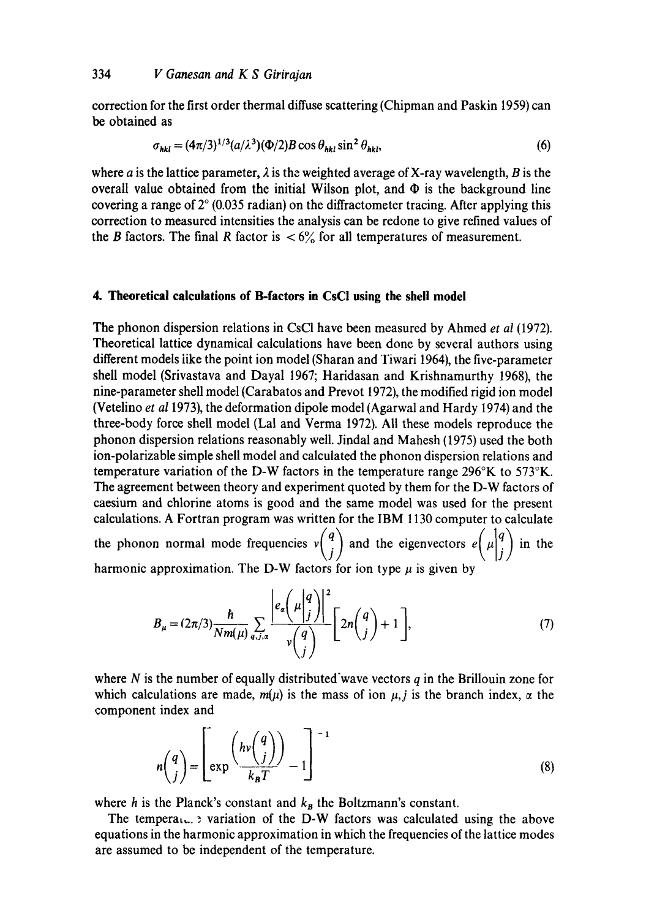correction for the first order thermal diffuse scattering (Chipman and Paskin 1959) can be obtained as

$$
\sigma_{hkl} = (4\pi/3)^{1/3} (a/\lambda^3) (\Phi/2) B \cos \theta_{hkl} \sin^2 \theta_{hkl},
$$
 (6)

where a is the lattice parameter,  $\lambda$  is the weighted average of X-ray wavelength, B is the overall value obtained from the initial Wilson plot, and  $\Phi$  is the background line covering a range of  $2^{\circ}$  (0.035 radian) on the diffractometer tracing. After applying this correction to measured intensities the analysis can be redone to give refined values of the B factors. The final R factor is  $\langle 6 \rangle$  for all temperatures of measurement.

## **4. Theoretical calculations of B-factors in CsCI using the shell model**

The phonon dispersion relations in CsCI have been measured by Ahmed *et al* (1972). Theoretical lattice dynamical calculations have been done by several authors using different models iike the point ion model (Sharan and Tiwari 1964), the five-parameter shell model (Srivastava and Dayal 1967; Haridasan and Krishnamurthy 1968), the nine-parameter shell model (Carabatos and Prevot 1972), the modified rigid ion model (Vetelino *et a11973),* the deformation dipole model (Agarwal and Hardy 1974) and the three-body force shell model (Lal and Verma 1972). All these models reproduce the phonon dispersion relations reasonably well. Jindal and Mahesh (1975) used the both ion-polarizable simple shell model and calculated the phonon dispersion relations and temperature variation of the D-W factors in the temperature range 296°K to 573°K. The agreement between theory and experiment quoted by them for the D-W factors of caesium and chlorine atoms is good and the same model was used for the present calculations. A Fortran program was written for the IBM 1130 computer to calculate  $\langle \cdot, \cdot \rangle$  /  $\langle \cdot, \cdot \rangle$  /  $\langle \cdot, \cdot \rangle$ the phonon normal mode frequencies  $v\begin{pmatrix} 1 \\ j \end{pmatrix}$  and the eigenvectors  $e\begin{pmatrix} \mu \\ j \end{pmatrix}$  in the harmonic approximation. The D-W factors for ion type  $\mu$  is given by

$$
B_{\mu} = (2\pi/3) \frac{\hbar}{Nm(\mu)} \sum_{q,j,\alpha} \frac{\left| e_{\alpha} \left( \mu \begin{vmatrix} q \\ j \end{vmatrix} \right) \right|^2}{\nu \begin{pmatrix} q \\ j \end{pmatrix}} \left[ 2n \begin{pmatrix} q \\ j \end{pmatrix} + 1 \right],
$$
(7)

where  $N$  is the number of equally distributed wave vectors  $q$  in the Brillouin zone for which calculations are made,  $m(\mu)$  is the mass of ion  $\mu$ , i is the branch index,  $\alpha$  the component index and

$$
n\binom{q}{j} = \left[ \exp\left(\frac{hv\binom{q}{j}}{k_B T}\right) - 1 \right]^{-1} \tag{8}
$$

where h is the Planck's constant and  $k_B$  the Boltzmann's constant.

The temperal  $\ldots$  ariation of the D-W factors was calculated using the above equations in the harmonic approximation in which the frequencies of the lattice modes are assumed to be independent of the temperature.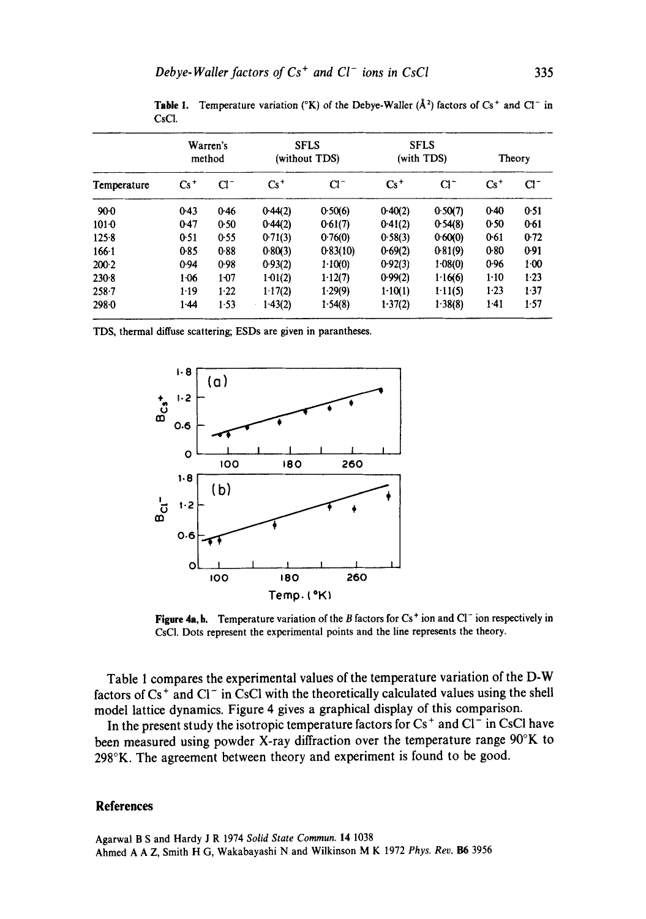| Temperature | Warren's<br>method |          | <b>SFLS</b><br>(without TDS) |          | <b>SFLS</b><br>(with TDS) |          | Theory   |        |
|-------------|--------------------|----------|------------------------------|----------|---------------------------|----------|----------|--------|
|             | $Cs^+$             | $Cl^-$   | $Cs^+$                       | $Cl^-$   | $Cs^+$                    | $Cl^{-}$ | $Cs^+$   | $Cl^-$ |
| $90-0$      | 0.43               | 0.46     | 0.44(2)                      | 0.50(6)  | 0.40(2)                   | 0.50(7)  | 0.40     | 0.51   |
| $101 - 0$   | 0.47               | 0.50     | 0.44(2)                      | 0.61(7)  | 0.41(2)                   | 0.54(8)  | 0.50     | 0.61   |
| 125.8       | 0.51               | 0.55     | 0.71(3)                      | 0.76(0)  | 0.58(3)                   | 0.60(0)  | 0.61     | 0.72   |
| $166 - 1$   | 0.85               | 0.88     | 0.80(3)                      | 0.83(10) | 0.69(2)                   | 0.81(9)  | 0.80     | 0.91   |
| $200-2$     | 0.94               | 0.98     | 0.93(2)                      | 1.10(0)  | 0.92(3)                   | 1.08(0)  | 0.96     | $1-00$ |
| $230-8$     | 1.06               | $1 - 07$ | $1-01(2)$                    | 1.12(7)  | 0.99(2)                   | 1.16(6)  | $1 - 10$ | $1-23$ |
| $258 - 7$   | $1-19$             | $1-22$   | 117(2)                       | 1.29(9)  | 1.10(1)                   | 1.11(5)  | 1.23     | 1.37   |
| 298.0       | 1.44               | 1.53     | 1.43(2)                      | 1.54(8)  | 1.37(2)                   | 1.38(8)  | $1-41$   | 1.57   |

**Table 1.** Temperature variation (°K) of the Debye-Waller ( $\AA$ <sup>2</sup>) factors of Cs<sup>+</sup> and Cl<sup>-</sup> in CsC1.

TDS, thermal diffuse scattering; ESDs are given in parantheses.



**Figure 4a, b.** Temperature variation of the B factors for  $Cs<sup>+</sup>$  ion and Cl<sup>-</sup> ion respectively in CsCI. Dots represent the experimental points and the line represents the theory.

Table 1 compares the experimental values of the temperature variation of the D-W factors of  $Cs^+$  and  $Cl^-$  in CsCl with the theoretically calculated values using the shell model lattice dynamics. Figure 4 gives a graphical display of this comparison.

In the present study the isotropic temperature factors for  $Cs<sup>+</sup>$  and  $Cl<sup>-</sup>$  in CsCl have been measured using powder X-ray diffraction over the temperature range 90°K to 298°K. The agreement between theory and experiment is found to be good.

#### **References**

Agarwal B S and Hardy J R 1974 *Solid State Commun.* 14 1038 Ahmed A A Z, Smith H G, Wakabayashi N and Wilkinson M K 1972 *Phys. Rev. !}6* 3956